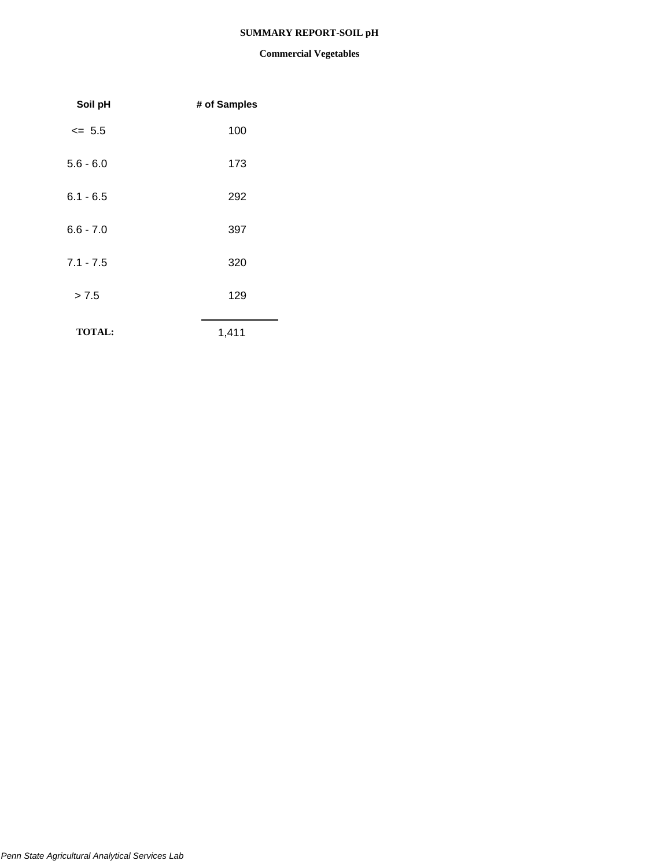### **SUMMARY REPORT-SOIL pH**

| Soil pH       | # of Samples |
|---------------|--------------|
| $\leq$ 5.5    | 100          |
| $5.6 - 6.0$   | 173          |
| $6.1 - 6.5$   | 292          |
| $6.6 - 7.0$   | 397          |
| $7.1 - 7.5$   | 320          |
| > 7.5         | 129          |
| <b>TOTAL:</b> | 1,411        |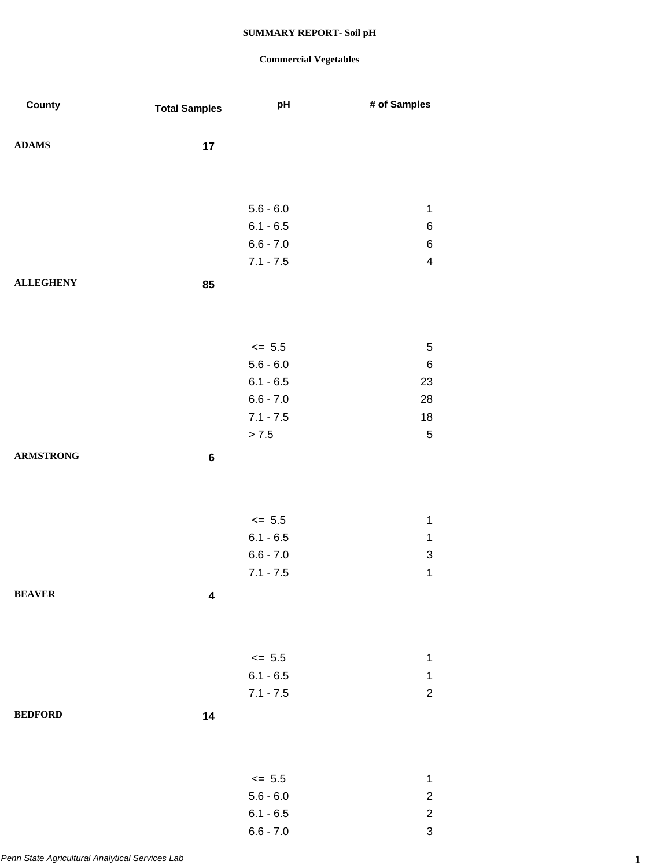| ${\bf ADAMS}$<br>17<br>$5.6 - 6.0$<br>$\mathbf 1$<br>$6.1 - 6.5$<br>6<br>$6.6 - 7.0$<br>6<br>$7.1 - 7.5$<br>$\overline{\mathbf{4}}$<br><b>ALLEGHENY</b><br>85<br>$\le$ 5.5<br>5<br>$5.6 - 6.0$<br>6<br>$6.1 - 6.5$<br>23<br>$6.6 - 7.0$<br>28<br>$7.1 - 7.5$<br>18<br>$> 7.5$<br>$\sqrt{5}$<br><b>ARMSTRONG</b><br>6<br>$\leq$ 5.5<br>$\mathbf 1$<br>$6.1 - 6.5$<br>$\mathbf{1}$<br>$6.6 - 7.0$<br>$\ensuremath{\mathsf{3}}$<br>$7.1 - 7.5$<br>1<br><b>BEAVER</b><br>$\overline{\mathbf{4}}$<br>$\le$ 5.5<br>1<br>$6.1 - 6.5$<br>1<br>$7.1 - 7.5$<br>$\overline{c}$<br><b>BEDFORD</b><br>14<br>$\le$ 5.5<br>$\mathbf 1$ | County | <b>Total Samples</b> | pH | # of Samples |
|-------------------------------------------------------------------------------------------------------------------------------------------------------------------------------------------------------------------------------------------------------------------------------------------------------------------------------------------------------------------------------------------------------------------------------------------------------------------------------------------------------------------------------------------------------------------------------------------------------------------------|--------|----------------------|----|--------------|
|                                                                                                                                                                                                                                                                                                                                                                                                                                                                                                                                                                                                                         |        |                      |    |              |
|                                                                                                                                                                                                                                                                                                                                                                                                                                                                                                                                                                                                                         |        |                      |    |              |
|                                                                                                                                                                                                                                                                                                                                                                                                                                                                                                                                                                                                                         |        |                      |    |              |
|                                                                                                                                                                                                                                                                                                                                                                                                                                                                                                                                                                                                                         |        |                      |    |              |
|                                                                                                                                                                                                                                                                                                                                                                                                                                                                                                                                                                                                                         |        |                      |    |              |
|                                                                                                                                                                                                                                                                                                                                                                                                                                                                                                                                                                                                                         |        |                      |    |              |
|                                                                                                                                                                                                                                                                                                                                                                                                                                                                                                                                                                                                                         |        |                      |    |              |
|                                                                                                                                                                                                                                                                                                                                                                                                                                                                                                                                                                                                                         |        |                      |    |              |
|                                                                                                                                                                                                                                                                                                                                                                                                                                                                                                                                                                                                                         |        |                      |    |              |
|                                                                                                                                                                                                                                                                                                                                                                                                                                                                                                                                                                                                                         |        |                      |    |              |
|                                                                                                                                                                                                                                                                                                                                                                                                                                                                                                                                                                                                                         |        |                      |    |              |
|                                                                                                                                                                                                                                                                                                                                                                                                                                                                                                                                                                                                                         |        |                      |    |              |
|                                                                                                                                                                                                                                                                                                                                                                                                                                                                                                                                                                                                                         |        |                      |    |              |
|                                                                                                                                                                                                                                                                                                                                                                                                                                                                                                                                                                                                                         |        |                      |    |              |
|                                                                                                                                                                                                                                                                                                                                                                                                                                                                                                                                                                                                                         |        |                      |    |              |
|                                                                                                                                                                                                                                                                                                                                                                                                                                                                                                                                                                                                                         |        |                      |    |              |
|                                                                                                                                                                                                                                                                                                                                                                                                                                                                                                                                                                                                                         |        |                      |    |              |
|                                                                                                                                                                                                                                                                                                                                                                                                                                                                                                                                                                                                                         |        |                      |    |              |
|                                                                                                                                                                                                                                                                                                                                                                                                                                                                                                                                                                                                                         |        |                      |    |              |
|                                                                                                                                                                                                                                                                                                                                                                                                                                                                                                                                                                                                                         |        |                      |    |              |
|                                                                                                                                                                                                                                                                                                                                                                                                                                                                                                                                                                                                                         |        |                      |    |              |
|                                                                                                                                                                                                                                                                                                                                                                                                                                                                                                                                                                                                                         |        |                      |    |              |
|                                                                                                                                                                                                                                                                                                                                                                                                                                                                                                                                                                                                                         |        |                      |    |              |
|                                                                                                                                                                                                                                                                                                                                                                                                                                                                                                                                                                                                                         |        |                      |    |              |
|                                                                                                                                                                                                                                                                                                                                                                                                                                                                                                                                                                                                                         |        |                      |    |              |
|                                                                                                                                                                                                                                                                                                                                                                                                                                                                                                                                                                                                                         |        |                      |    |              |
|                                                                                                                                                                                                                                                                                                                                                                                                                                                                                                                                                                                                                         |        |                      |    |              |
|                                                                                                                                                                                                                                                                                                                                                                                                                                                                                                                                                                                                                         |        |                      |    |              |
|                                                                                                                                                                                                                                                                                                                                                                                                                                                                                                                                                                                                                         |        |                      |    |              |
|                                                                                                                                                                                                                                                                                                                                                                                                                                                                                                                                                                                                                         |        |                      |    |              |
|                                                                                                                                                                                                                                                                                                                                                                                                                                                                                                                                                                                                                         |        |                      |    |              |
|                                                                                                                                                                                                                                                                                                                                                                                                                                                                                                                                                                                                                         |        |                      |    |              |
|                                                                                                                                                                                                                                                                                                                                                                                                                                                                                                                                                                                                                         |        |                      |    |              |
|                                                                                                                                                                                                                                                                                                                                                                                                                                                                                                                                                                                                                         |        |                      |    |              |
|                                                                                                                                                                                                                                                                                                                                                                                                                                                                                                                                                                                                                         |        |                      |    |              |
| $5.6 - 6.0$<br>$\overline{c}$<br>$6.1 - 6.5$<br>$\overline{c}$                                                                                                                                                                                                                                                                                                                                                                                                                                                                                                                                                          |        |                      |    |              |
| $6.6 - 7.0$<br>3                                                                                                                                                                                                                                                                                                                                                                                                                                                                                                                                                                                                        |        |                      |    |              |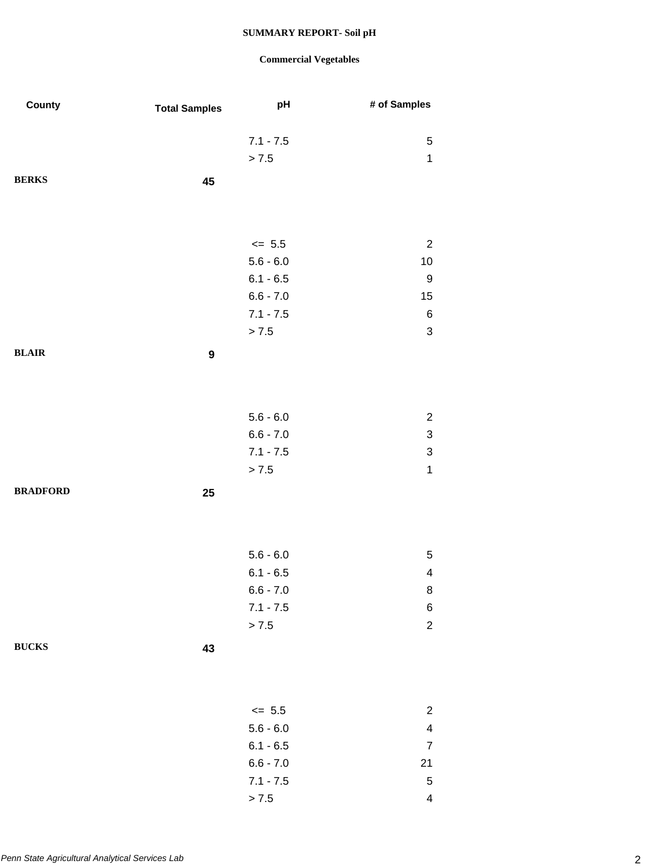| County          | <b>Total Samples</b> | pH                         | # of Samples              |
|-----------------|----------------------|----------------------------|---------------------------|
|                 |                      |                            |                           |
|                 |                      | $7.1 - 7.5$                | $\mathbf 5$               |
|                 |                      | > 7.5                      | $\mathbf 1$               |
| <b>BERKS</b>    | 45                   |                            |                           |
|                 |                      |                            |                           |
|                 |                      |                            |                           |
|                 |                      | $\le$ 5.5                  | $\overline{c}$            |
|                 |                      | $5.6 - 6.0$                | 10                        |
|                 |                      | $6.1 - 6.5$                | 9                         |
|                 |                      | $6.6 - 7.0$                | 15                        |
|                 |                      | $7.1 - 7.5$                | $\,6\,$                   |
|                 |                      | > 7.5                      | $\ensuremath{\mathsf{3}}$ |
| <b>BLAIR</b>    | $\boldsymbol{9}$     |                            |                           |
|                 |                      |                            |                           |
|                 |                      |                            |                           |
|                 |                      |                            |                           |
|                 |                      | $5.6 - 6.0$                | $\overline{c}$            |
|                 |                      | $6.6 - 7.0$                | $\ensuremath{\mathsf{3}}$ |
|                 |                      | $7.1 - 7.5$                | $\ensuremath{\mathsf{3}}$ |
|                 |                      | > 7.5                      | $\mathbf 1$               |
| <b>BRADFORD</b> | 25                   |                            |                           |
|                 |                      |                            |                           |
|                 |                      |                            |                           |
|                 |                      |                            |                           |
|                 |                      | $5.6 - 6.0$                | 5                         |
|                 |                      | $6.1 - 6.5$<br>$6.6 - 7.0$ | $\overline{\mathbf{4}}$   |
|                 |                      | $7.1 - 7.5$                | 8<br>6                    |
|                 |                      | > 7.5                      | $\overline{c}$            |
|                 |                      |                            |                           |
| <b>BUCKS</b>    | 43                   |                            |                           |
|                 |                      |                            |                           |
|                 |                      |                            |                           |
|                 |                      | $\leq$ 5.5                 | $\overline{\mathbf{c}}$   |
|                 |                      | $5.6 - 6.0$                | $\overline{\mathbf{4}}$   |
|                 |                      | $6.1 - 6.5$                | $\boldsymbol{7}$          |
|                 |                      | $6.6 - 7.0$                | 21                        |
|                 |                      | $7.1 - 7.5$                | $\sqrt{5}$                |
|                 |                      | $> 7.5$                    | 4                         |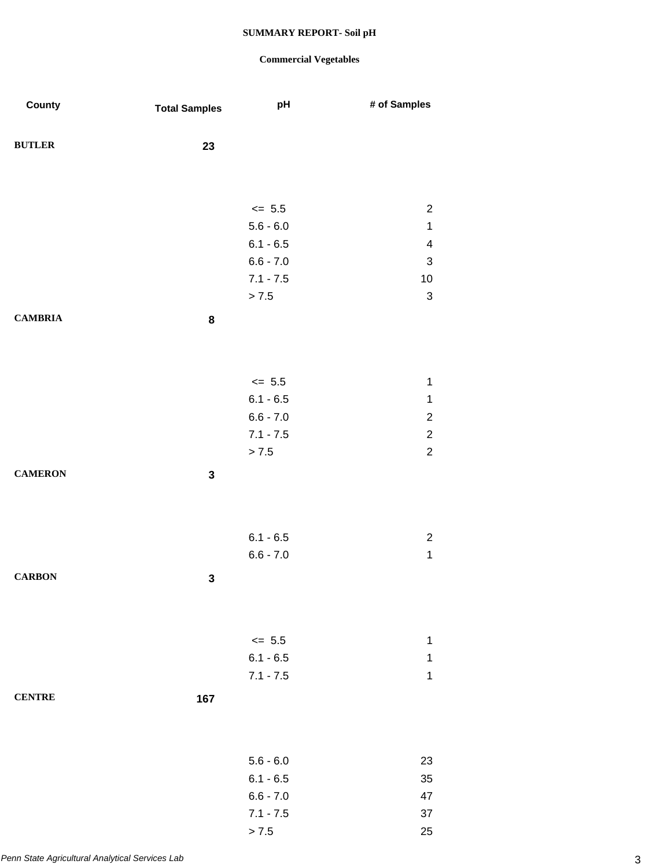| County         | <b>Total Samples</b> | pH                         | # of Samples                       |
|----------------|----------------------|----------------------------|------------------------------------|
| <b>BUTLER</b>  | 23                   |                            |                                    |
|                |                      |                            |                                    |
|                |                      |                            |                                    |
|                |                      | $\le$ 5.5                  | $\boldsymbol{2}$                   |
|                |                      | $5.6 - 6.0$                | $\mathbf{1}$                       |
|                |                      | $6.1 - 6.5$                | $\overline{\mathbf{4}}$            |
|                |                      | $6.6 - 7.0$                | $\ensuremath{\mathsf{3}}$          |
|                |                      | $7.1 - 7.5$                | $10$                               |
|                |                      | > 7.5                      | $\ensuremath{\mathsf{3}}$          |
| <b>CAMBRIA</b> | $\bf 8$              |                            |                                    |
|                |                      |                            |                                    |
|                |                      |                            |                                    |
|                |                      | $\leq$ 5.5                 | $\mathbf 1$                        |
|                |                      | $6.1 - 6.5$                | $\mathbf 1$                        |
|                |                      | $6.6 - 7.0$<br>$7.1 - 7.5$ | $\boldsymbol{2}$<br>$\overline{2}$ |
|                |                      | > 7.5                      | $\overline{c}$                     |
| <b>CAMERON</b> | $\mathbf 3$          |                            |                                    |
|                |                      |                            |                                    |
|                |                      |                            |                                    |
|                |                      | $6.1 - 6.5$                | $\overline{c}$                     |
|                |                      | $6.6 - 7.0$                | $\mathbf{1}$                       |
| <b>CARBON</b>  | $\mathbf 3$          |                            |                                    |
|                |                      |                            |                                    |
|                |                      |                            |                                    |
|                |                      | $\le$ 5.5                  | $\mathbf 1$                        |
|                |                      | $6.1 - 6.5$                | $\mathbf 1$                        |
|                |                      | $7.1 - 7.5$                | $\mathbf 1$                        |
| <b>CENTRE</b>  | 167                  |                            |                                    |
|                |                      |                            |                                    |
|                |                      |                            |                                    |
|                |                      | $5.6 - 6.0$                | 23                                 |
|                |                      | $6.1 - 6.5$                | 35                                 |
|                |                      | $6.6 - 7.0$                | 47                                 |
|                |                      | $7.1 - 7.5$                | 37                                 |
|                |                      | > 7.5                      | 25                                 |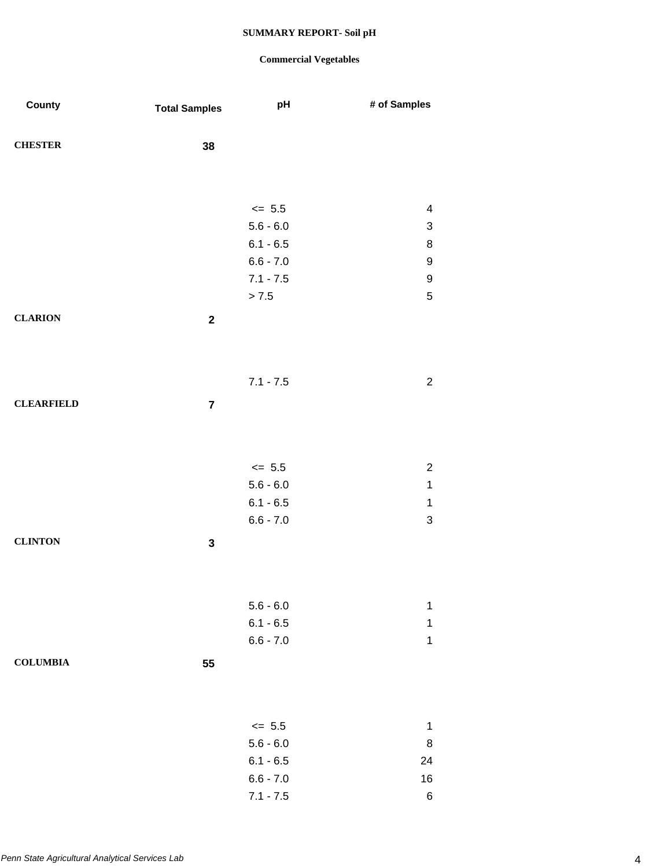| County            | <b>Total Samples</b> | pH                         | # of Samples              |
|-------------------|----------------------|----------------------------|---------------------------|
|                   |                      |                            |                           |
| <b>CHESTER</b>    | 38                   |                            |                           |
|                   |                      |                            |                           |
|                   |                      |                            |                           |
|                   |                      | $\leq$ 5.5                 | $\overline{4}$            |
|                   |                      | $5.6 - 6.0$                | $\ensuremath{\mathsf{3}}$ |
|                   |                      | $6.1 - 6.5$                | 8                         |
|                   |                      | $6.6 - 7.0$                | $\boldsymbol{9}$          |
|                   |                      | $7.1 - 7.5$                | 9                         |
|                   |                      | > 7.5                      | $\sqrt{5}$                |
| <b>CLARION</b>    | $\mathbf 2$          |                            |                           |
|                   |                      |                            |                           |
|                   |                      |                            |                           |
|                   |                      | $7.1 - 7.5$                | $\sqrt{2}$                |
| <b>CLEARFIELD</b> | $\overline{7}$       |                            |                           |
|                   |                      |                            |                           |
|                   |                      |                            |                           |
|                   |                      |                            |                           |
|                   |                      | $\leq$ 5.5                 | $\boldsymbol{2}$          |
|                   |                      | $5.6 - 6.0$                | $\mathbf 1$               |
|                   |                      | $6.1 - 6.5$                | $\mathbf{1}$              |
|                   |                      | $6.6 - 7.0$                | $\mathfrak{S}$            |
| <b>CLINTON</b>    | $\mathbf 3$          |                            |                           |
|                   |                      |                            |                           |
|                   |                      |                            |                           |
|                   |                      | $5.6 - 6.0$                | $\mathbf 1$               |
|                   |                      | $6.1 - 6.5$                | 1                         |
|                   |                      | $6.6 - 7.0$                | $\mathbf 1$               |
| <b>COLUMBIA</b>   | 55                   |                            |                           |
|                   |                      |                            |                           |
|                   |                      |                            |                           |
|                   |                      |                            |                           |
|                   |                      | $\le$ 5.5                  | $\mathbf 1$               |
|                   |                      | $5.6 - 6.0$                | 8                         |
|                   |                      | $6.1 - 6.5$<br>$6.6 - 7.0$ | 24<br>$16$                |
|                   |                      | $7.1 - 7.5$                | $\,6$                     |
|                   |                      |                            |                           |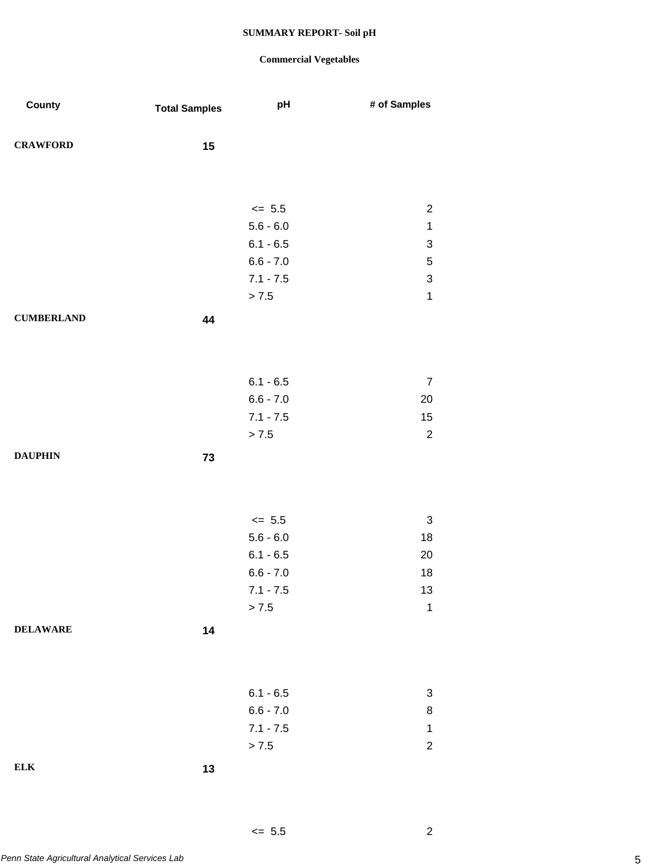### **Commercial Vegetables**

 $\leq 5.5$  2

| County            | <b>Total Samples</b> | pH                   | # of Samples                             |
|-------------------|----------------------|----------------------|------------------------------------------|
|                   |                      |                      |                                          |
| <b>CRAWFORD</b>   | 15                   |                      |                                          |
|                   |                      |                      |                                          |
|                   |                      |                      |                                          |
|                   |                      | $\leq 5.5$           | $\overline{c}$                           |
|                   |                      | $5.6 - 6.0$          | $\mathbf 1$                              |
|                   |                      | $6.1 - 6.5$          | $\ensuremath{\mathsf{3}}$                |
|                   |                      | $6.6 - 7.0$          | $\sqrt{5}$                               |
|                   |                      | $7.1 - 7.5$<br>> 7.5 | $\ensuremath{\mathsf{3}}$<br>$\mathbf 1$ |
|                   |                      |                      |                                          |
| <b>CUMBERLAND</b> | 44                   |                      |                                          |
|                   |                      |                      |                                          |
|                   |                      |                      |                                          |
|                   |                      | $6.1 - 6.5$          | $\overline{7}$                           |
|                   |                      | $6.6 - 7.0$          | 20                                       |
|                   |                      | $7.1 - 7.5$          | 15                                       |
|                   |                      | > 7.5                | $\boldsymbol{2}$                         |
| <b>DAUPHIN</b>    | 73                   |                      |                                          |
|                   |                      |                      |                                          |
|                   |                      |                      |                                          |
|                   |                      | $\le$ 5.5            | 3                                        |
|                   |                      | $5.6 - 6.0$          | 18                                       |
|                   |                      | $6.1 - 6.5$          | 20                                       |
|                   |                      | $6.6 - 7.0$          | 18                                       |
|                   |                      | $7.1 - 7.5$          | $13$                                     |
|                   |                      | > 7.5                | $\mathbf 1$                              |
| <b>DELAWARE</b>   | 14                   |                      |                                          |
|                   |                      |                      |                                          |
|                   |                      |                      |                                          |
|                   |                      |                      |                                          |
|                   |                      | $6.1 - 6.5$          | 3                                        |
|                   |                      | $6.6 - 7.0$          | 8                                        |
|                   |                      | $7.1 - 7.5$          | $\mathbf 1$                              |
|                   |                      | > 7.5                | $\mathbf 2$                              |
| ${\bf ELK}$       | 13                   |                      |                                          |
|                   |                      |                      |                                          |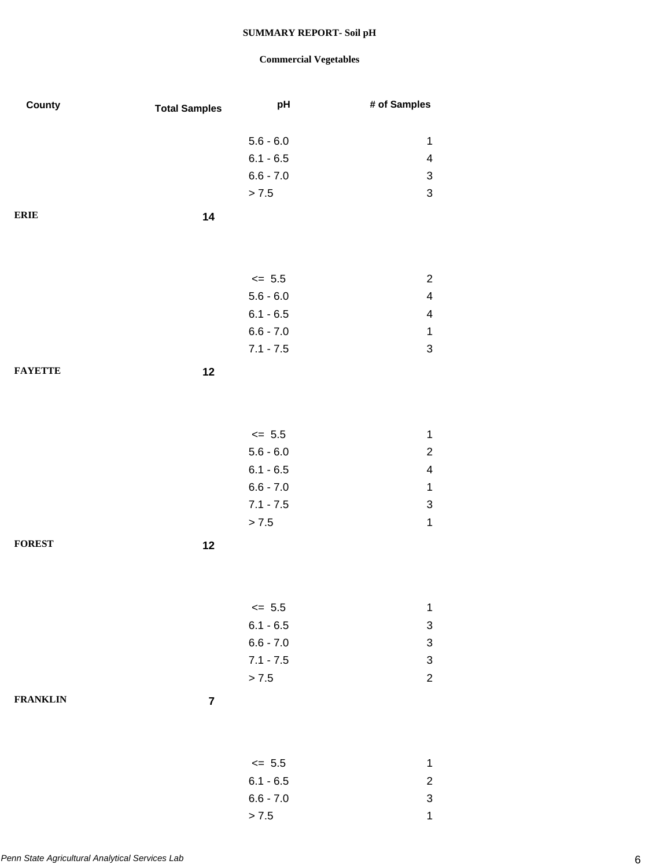| County          | <b>Total Samples</b> | pH                         | # of Samples                                           |
|-----------------|----------------------|----------------------------|--------------------------------------------------------|
|                 |                      |                            |                                                        |
|                 |                      | $5.6 - 6.0$                | 1                                                      |
|                 |                      | $6.1 - 6.5$<br>$6.6 - 7.0$ | $\overline{\mathcal{A}}$<br>$\sqrt{3}$                 |
|                 |                      | > 7.5                      | $\ensuremath{\mathsf{3}}$                              |
|                 |                      |                            |                                                        |
| <b>ERIE</b>     | 14                   |                            |                                                        |
|                 |                      |                            |                                                        |
|                 |                      |                            |                                                        |
|                 |                      | $\leq$ 5.5                 | $\overline{c}$                                         |
|                 |                      | $5.6 - 6.0$                | $\overline{\mathcal{A}}$                               |
|                 |                      | $6.1 - 6.5$                | $\overline{\mathbf{4}}$                                |
|                 |                      | $6.6 - 7.0$                | $\mathbf{1}$                                           |
|                 |                      | $7.1 - 7.5$                | $\ensuremath{\mathsf{3}}$                              |
| <b>FAYETTE</b>  | 12                   |                            |                                                        |
|                 |                      |                            |                                                        |
|                 |                      |                            |                                                        |
|                 |                      |                            |                                                        |
|                 |                      | $\leq$ 5.5                 | 1                                                      |
|                 |                      | $5.6 - 6.0$                | $\overline{c}$                                         |
|                 |                      | $6.1 - 6.5$                | $\overline{\mathbf{4}}$                                |
|                 |                      | $6.6 - 7.0$                | $\mathbf{1}$                                           |
|                 |                      | $7.1 - 7.5$                | $\ensuremath{\mathsf{3}}$                              |
|                 |                      | > 7.5                      | $\mathbf 1$                                            |
| <b>FOREST</b>   | 12                   |                            |                                                        |
|                 |                      |                            |                                                        |
|                 |                      |                            |                                                        |
|                 |                      |                            |                                                        |
|                 |                      | $\leq$ 5.5                 | 1                                                      |
|                 |                      | $6.1 - 6.5$<br>$6.6 - 7.0$ | 3                                                      |
|                 |                      | $7.1 - 7.5$                | $\ensuremath{\mathsf{3}}$<br>$\ensuremath{\mathsf{3}}$ |
|                 |                      | > 7.5                      | $\overline{c}$                                         |
|                 |                      |                            |                                                        |
| <b>FRANKLIN</b> | $\overline{7}$       |                            |                                                        |
|                 |                      |                            |                                                        |
|                 |                      |                            |                                                        |
|                 |                      | $\leq$ 5.5                 | $\mathbf 1$                                            |
|                 |                      | $6.1 - 6.5$                | $\overline{c}$                                         |
|                 |                      | $6.6 - 7.0$                | $\ensuremath{\mathsf{3}}$                              |
|                 |                      | > 7.5                      | 1                                                      |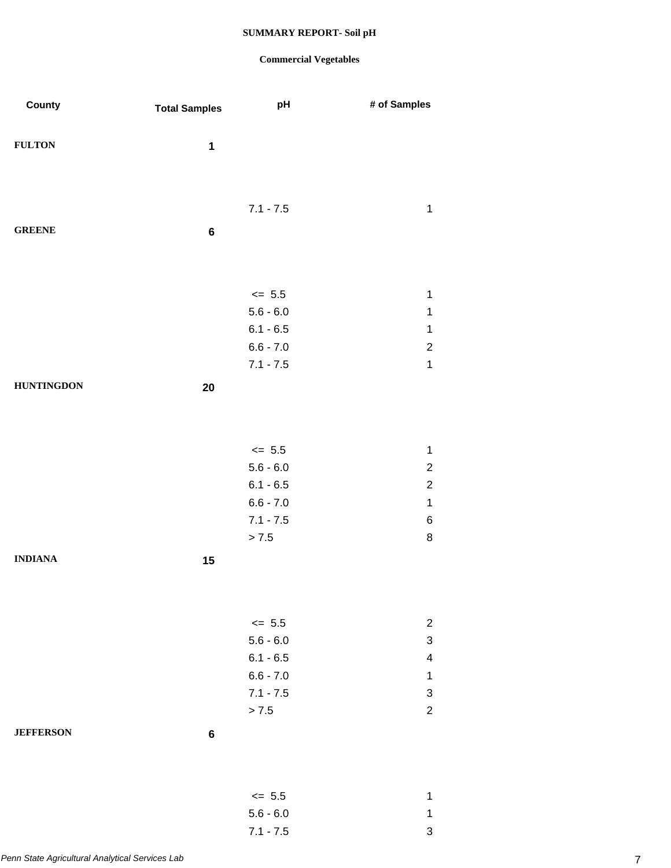| County            | <b>Total Samples</b> | pH                         | # of Samples              |
|-------------------|----------------------|----------------------------|---------------------------|
|                   |                      |                            |                           |
| <b>FULTON</b>     | $\mathbf{1}$         |                            |                           |
|                   |                      |                            |                           |
|                   |                      |                            |                           |
|                   |                      | $7.1 - 7.5$                | $\mathbf 1$               |
|                   |                      |                            |                           |
| <b>GREENE</b>     | 6                    |                            |                           |
|                   |                      |                            |                           |
|                   |                      |                            |                           |
|                   |                      | $\le$ 5.5                  | $\mathbf 1$               |
|                   |                      | $5.6 - 6.0$                | 1                         |
|                   |                      | $6.1 - 6.5$                | $\mathbf{1}$              |
|                   |                      | $6.6 - 7.0$                | $\overline{2}$            |
|                   |                      | $7.1 - 7.5$                | $\mathbf{1}$              |
| <b>HUNTINGDON</b> | 20                   |                            |                           |
|                   |                      |                            |                           |
|                   |                      |                            |                           |
|                   |                      |                            |                           |
|                   |                      | $\leq$ 5.5                 | $\mathbf{1}$              |
|                   |                      | $5.6 - 6.0$                | $\overline{c}$            |
|                   |                      | $6.1 - 6.5$                | $\overline{2}$            |
|                   |                      | $6.6 - 7.0$<br>$7.1 - 7.5$ | $\mathbf{1}$              |
|                   |                      | $> 7.5$                    | $\,6\,$<br>$\bf 8$        |
|                   |                      |                            |                           |
| <b>INDIANA</b>    | 15                   |                            |                           |
|                   |                      |                            |                           |
|                   |                      |                            |                           |
|                   |                      | $\leq$ 5.5                 | $\overline{c}$            |
|                   |                      | $5.6 - 6.0$                | $\ensuremath{\mathsf{3}}$ |
|                   |                      | $6.1 - 6.5$                | $\overline{\mathcal{A}}$  |
|                   |                      | $6.6 - 7.0$                | $\mathbf 1$               |
|                   |                      | $7.1 - 7.5$                | $\ensuremath{\mathsf{3}}$ |
|                   |                      | > 7.5                      | $\sqrt{2}$                |
| <b>JEFFERSON</b>  | $\bf 6$              |                            |                           |
|                   |                      |                            |                           |
|                   |                      |                            |                           |
|                   |                      |                            |                           |
|                   |                      | $\le$ 5.5                  | $\mathbf 1$               |
|                   |                      | $5.6 - 6.0$                | $\mathbf 1$               |
|                   |                      | $7.1 - 7.5$                | $\mathsf 3$               |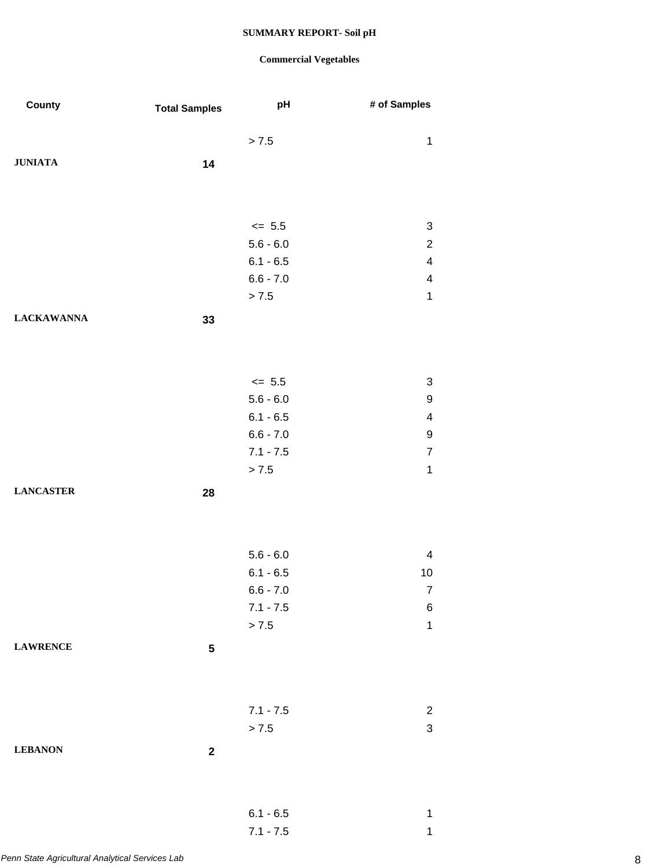| County            | <b>Total Samples</b> | pH                   | # of Samples                   |
|-------------------|----------------------|----------------------|--------------------------------|
|                   |                      | $> 7.5$              | $\mathbf{1}$                   |
| <b>JUNIATA</b>    | 14                   |                      |                                |
|                   |                      |                      |                                |
|                   |                      | $\leq$ 5.5           | $\ensuremath{\mathsf{3}}$      |
|                   |                      | $5.6 - 6.0$          | $\overline{c}$                 |
|                   |                      | $6.1 - 6.5$          | $\overline{\mathbf{4}}$        |
|                   |                      | $6.6 - 7.0$          | $\overline{\mathbf{4}}$        |
|                   |                      | > 7.5                | $\mathbf 1$                    |
| <b>LACKAWANNA</b> | 33                   |                      |                                |
|                   |                      |                      |                                |
|                   |                      |                      |                                |
|                   |                      | $\leq$ 5.5           | 3                              |
|                   |                      | $5.6 - 6.0$          | $\boldsymbol{9}$               |
|                   |                      | $6.1 - 6.5$          | 4                              |
|                   |                      | $6.6 - 7.0$          | 9                              |
|                   |                      | $7.1 - 7.5$<br>> 7.5 | $\overline{7}$<br>$\mathbf{1}$ |
| <b>LANCASTER</b>  | 28                   |                      |                                |
|                   |                      |                      |                                |
|                   |                      |                      |                                |
|                   |                      | $5.6 - 6.0$          | $\overline{\mathcal{A}}$       |
|                   |                      | $6.1 - 6.5$          | 10                             |
|                   |                      | $6.6 - 7.0$          | $\overline{7}$                 |
|                   |                      | $7.1 - 7.5$<br>> 7.5 | 6<br>$\mathbf{1}$              |
| <b>LAWRENCE</b>   | ${\bf 5}$            |                      |                                |
|                   |                      |                      |                                |
|                   |                      |                      |                                |
|                   |                      | $7.1 - 7.5$          | $\overline{2}$                 |
|                   |                      | > 7.5                | 3                              |
| <b>LEBANON</b>    | $\mathbf 2$          |                      |                                |
|                   |                      |                      |                                |
|                   |                      | $6.1 - 6.5$          | $\mathbf{1}$                   |
|                   |                      | $7.1 - 7.5$          | 1                              |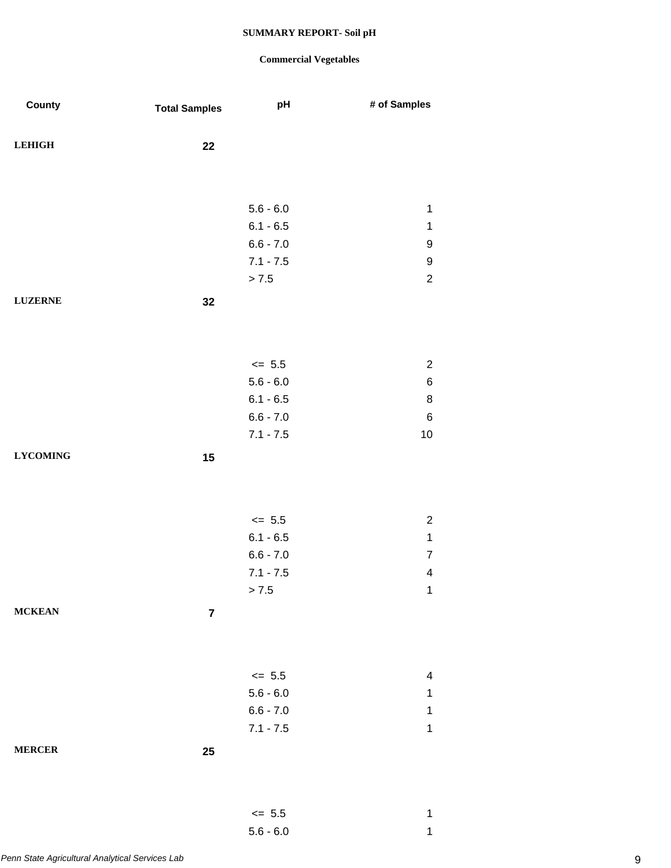### **Commercial Vegetables**

5.6 - 6.0 1

| County           | <b>Total Samples</b> | pH                         | # of Samples             |
|------------------|----------------------|----------------------------|--------------------------|
|                  |                      |                            |                          |
| <b>LEHIGH</b>    | 22                   |                            |                          |
|                  |                      |                            |                          |
|                  |                      |                            |                          |
|                  |                      | $5.6 - 6.0$                | $\mathbf 1$              |
|                  |                      | $6.1 - 6.5$<br>$6.6 - 7.0$ | $\mathbf 1$              |
|                  |                      | $7.1 - 7.5$                | $\boldsymbol{9}$<br>9    |
|                  |                      | > 7.5                      | $\sqrt{2}$               |
|                  |                      |                            |                          |
| <b>LUZERNE</b>   | 32                   |                            |                          |
|                  |                      |                            |                          |
|                  |                      |                            |                          |
|                  |                      | $\leq$ 5.5                 | $\sqrt{2}$               |
|                  |                      | $5.6 - 6.0$                | $\,6$                    |
|                  |                      | $6.1 - 6.5$                | $\bf 8$                  |
|                  |                      | $6.6 - 7.0$                | $\,6$                    |
|                  |                      | $7.1 - 7.5$                | $10$                     |
| ${\bf LYCOMING}$ | 15                   |                            |                          |
|                  |                      |                            |                          |
|                  |                      |                            |                          |
|                  |                      | $\leq$ 5.5                 | $\sqrt{2}$               |
|                  |                      | $6.1 - 6.5$                | $\mathbf{1}$             |
|                  |                      | $6.6 - 7.0$                | $\overline{7}$           |
|                  |                      | $7.1 - 7.5$                | $\overline{\mathbf{4}}$  |
|                  |                      | > 7.5                      | 1                        |
| <b>MCKEAN</b>    | $\overline{7}$       |                            |                          |
|                  |                      |                            |                          |
|                  |                      |                            |                          |
|                  |                      |                            |                          |
|                  |                      | $\le$ 5.5                  | $\overline{\mathcal{A}}$ |
|                  |                      | $5.6 - 6.0$                | 1                        |
|                  |                      | $6.6 - 7.0$                | 1                        |
|                  |                      | $7.1 - 7.5$                | $\mathbf 1$              |
| <b>MERCER</b>    | 25                   |                            |                          |
|                  |                      |                            |                          |
|                  |                      |                            |                          |
|                  |                      | $\leq$ 5.5                 | $\mathbf 1$              |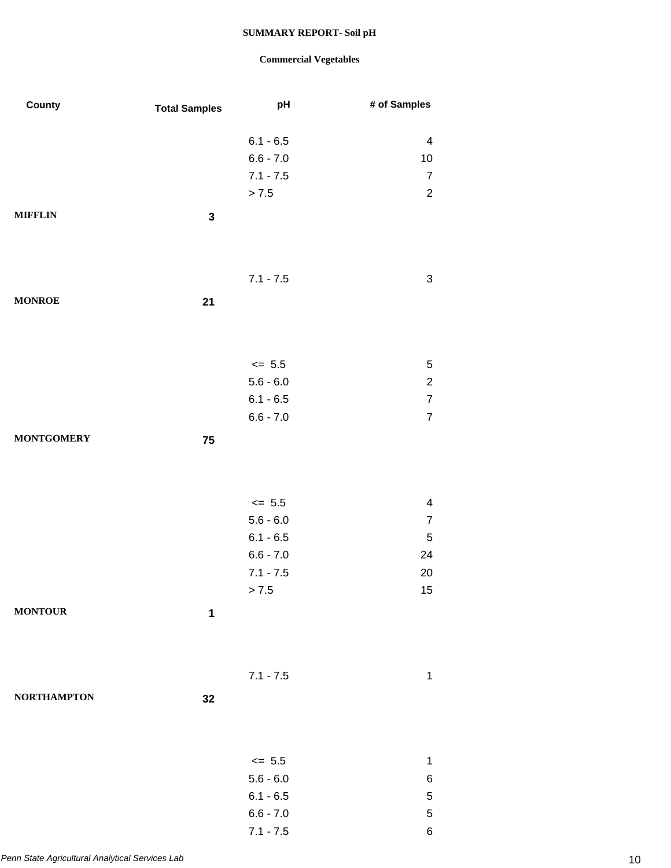| County             | <b>Total Samples</b> | pH                        | # of Samples                                       |
|--------------------|----------------------|---------------------------|----------------------------------------------------|
|                    |                      |                           |                                                    |
|                    |                      | $6.1 - 6.5$               | 4                                                  |
|                    |                      | $6.6 - 7.0$               | $10$                                               |
|                    |                      | $7.1 - 7.5$               | $\overline{7}$                                     |
|                    |                      | > 7.5                     | $\mathbf 2$                                        |
| <b>MIFFLIN</b>     | $\mathbf 3$          |                           |                                                    |
|                    |                      |                           |                                                    |
|                    |                      |                           |                                                    |
|                    |                      | $7.1 - 7.5$               | $\ensuremath{\mathsf{3}}$                          |
| <b>MONROE</b>      | 21                   |                           |                                                    |
|                    |                      |                           |                                                    |
|                    |                      |                           |                                                    |
|                    |                      | $\leq$ 5.5<br>$5.6 - 6.0$ | $\mathbf 5$                                        |
|                    |                      | $6.1 - 6.5$               | $\overline{\mathbf{c}}$<br>$\overline{\mathbf{7}}$ |
|                    |                      | $6.6 - 7.0$               | $\overline{\mathcal{I}}$                           |
|                    |                      |                           |                                                    |
| <b>MONTGOMERY</b>  | 75                   |                           |                                                    |
|                    |                      |                           |                                                    |
|                    |                      | $\leq$ 5.5                | $\overline{\mathbf{4}}$                            |
|                    |                      | $5.6 - 6.0$               | $\boldsymbol{7}$                                   |
|                    |                      | $6.1 - 6.5$               | $\mathbf 5$                                        |
|                    |                      | $6.6 - 7.0$               | 24                                                 |
|                    |                      | $7.1 - 7.5$               | 20                                                 |
|                    |                      | > 7.5                     | 15                                                 |
| <b>MONTOUR</b>     | 1                    |                           |                                                    |
|                    |                      |                           |                                                    |
|                    |                      |                           |                                                    |
|                    |                      | $7.1 - 7.5$               | $\mathbf 1$                                        |
| <b>NORTHAMPTON</b> | 32                   |                           |                                                    |
|                    |                      |                           |                                                    |
|                    |                      |                           |                                                    |
|                    |                      | $\le$ 5.5                 | $\mathbf 1$                                        |
|                    |                      | $5.6 - 6.0$               | $\,6$                                              |
|                    |                      | $6.1 - 6.5$               | $\mathbf 5$                                        |
|                    |                      | $6.6 - 7.0$               | $\sqrt{5}$                                         |
|                    |                      | $7.1 - 7.5$               | $\,6$                                              |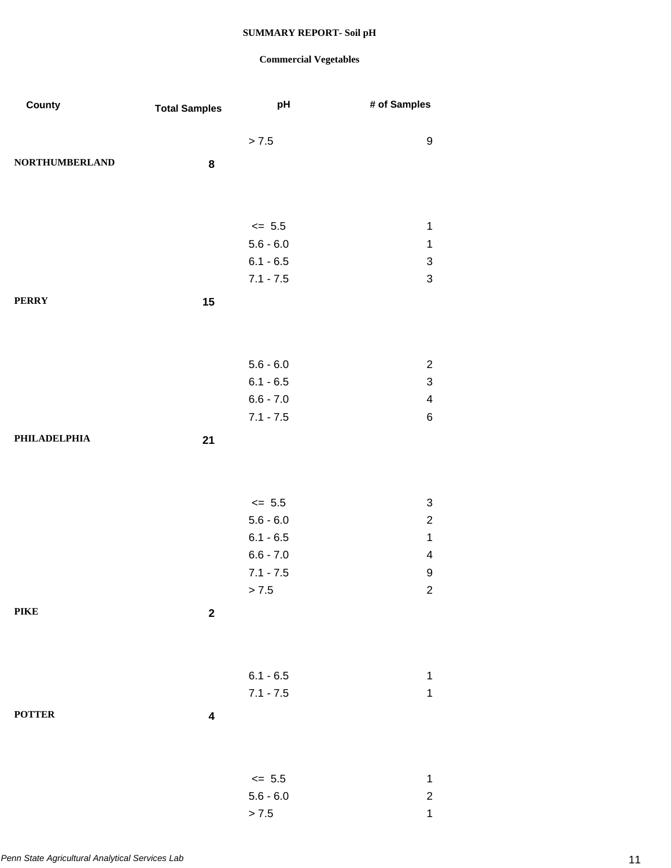| County                | <b>Total Samples</b>    | pH                         | # of Samples                                |
|-----------------------|-------------------------|----------------------------|---------------------------------------------|
|                       |                         | > 7.5                      | 9                                           |
| <b>NORTHUMBERLAND</b> | 8                       |                            |                                             |
|                       |                         |                            |                                             |
|                       |                         |                            |                                             |
|                       |                         | $\le$ 5.5                  | 1                                           |
|                       |                         | $5.6 - 6.0$                | $\mathbf 1$                                 |
|                       |                         | $6.1 - 6.5$                | 3<br>3                                      |
|                       |                         | $7.1 - 7.5$                |                                             |
| <b>PERRY</b>          | 15                      |                            |                                             |
|                       |                         |                            |                                             |
|                       |                         |                            |                                             |
|                       |                         | $5.6 - 6.0$                | $\overline{c}$<br>$\ensuremath{\mathsf{3}}$ |
|                       |                         | $6.1 - 6.5$<br>$6.6 - 7.0$ | $\overline{\mathbf{4}}$                     |
|                       |                         | $7.1 - 7.5$                | $\,6$                                       |
| PHILADELPHIA          | 21                      |                            |                                             |
|                       |                         |                            |                                             |
|                       |                         |                            |                                             |
|                       |                         | $\le$ 5.5                  | $\ensuremath{\mathsf{3}}$                   |
|                       |                         | $5.6 - 6.0$                | $\overline{c}$                              |
|                       |                         | $6.1 - 6.5$                | $\mathbf 1$                                 |
|                       |                         | $6.6 - 7.0$                | $\overline{\mathbf{4}}$                     |
|                       |                         | $7.1 - 7.5$                | 9                                           |
|                       |                         | > 7.5                      | $\overline{\mathbf{c}}$                     |
| <b>PIKE</b>           | $\boldsymbol{2}$        |                            |                                             |
|                       |                         |                            |                                             |
|                       |                         |                            |                                             |
|                       |                         | $6.1 - 6.5$                | $\mathbf 1$                                 |
|                       |                         | $7.1 - 7.5$                | $\mathbf 1$                                 |
| <b>POTTER</b>         | $\overline{\mathbf{4}}$ |                            |                                             |
|                       |                         |                            |                                             |
|                       |                         |                            |                                             |
|                       |                         | $\leq$ 5.5                 | $\mathbf 1$                                 |
|                       |                         | $5.6 - 6.0$<br>> 7.5       | $\overline{\mathbf{c}}$<br>$\mathbf 1$      |
|                       |                         |                            |                                             |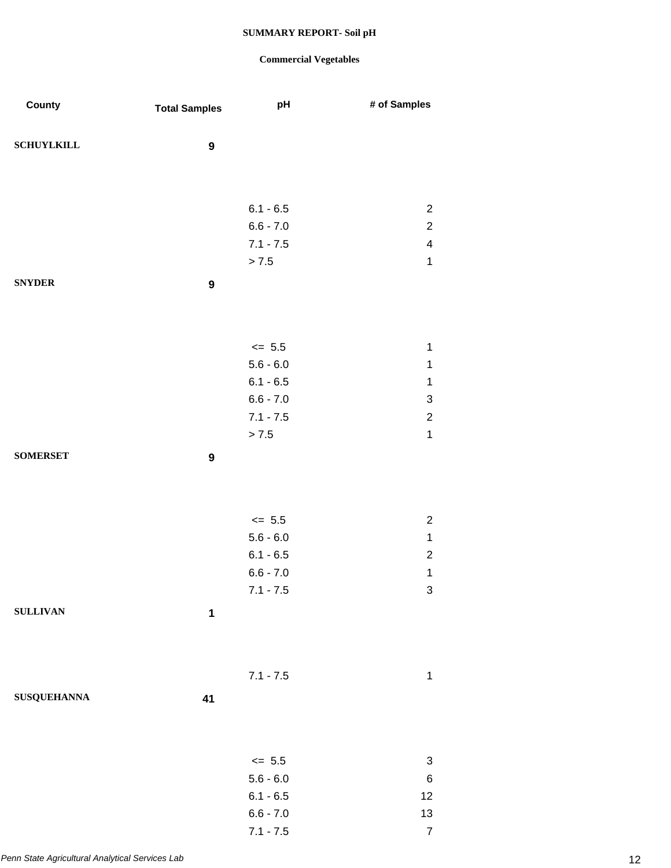| County             | <b>Total Samples</b> | pH          | # of Samples              |
|--------------------|----------------------|-------------|---------------------------|
|                    |                      |             |                           |
| <b>SCHUYLKILL</b>  | $\boldsymbol{9}$     |             |                           |
|                    |                      |             |                           |
|                    |                      | $6.1 - 6.5$ | $\overline{c}$            |
|                    |                      | $6.6 - 7.0$ | $\overline{c}$            |
|                    |                      | $7.1 - 7.5$ | $\overline{\mathbf{4}}$   |
|                    |                      | $> 7.5$     | $\mathbf{1}$              |
| <b>SNYDER</b>      | $\boldsymbol{9}$     |             |                           |
|                    |                      |             |                           |
|                    |                      |             |                           |
|                    |                      | $\le$ 5.5   | $\mathbf 1$               |
|                    |                      | $5.6 - 6.0$ | $\mathbf 1$               |
|                    |                      | $6.1 - 6.5$ | $\mathbf 1$               |
|                    |                      | $6.6 - 7.0$ | $\ensuremath{\mathsf{3}}$ |
|                    |                      | $7.1 - 7.5$ | $\boldsymbol{2}$          |
|                    |                      | > 7.5       | $\mathbf{1}$              |
| <b>SOMERSET</b>    | $\boldsymbol{9}$     |             |                           |
|                    |                      |             |                           |
|                    |                      |             |                           |
|                    |                      | $\leq$ 5.5  | $\sqrt{2}$                |
|                    |                      | $5.6 - 6.0$ | $\mathbf{1}$              |
|                    |                      | $6.1 - 6.5$ | $\mathbf 2$               |
|                    |                      | $6.6 - 7.0$ | $\mathbf 1$               |
|                    |                      | $7.1 - 7.5$ | 3                         |
| <b>SULLIVAN</b>    | $\mathbf 1$          |             |                           |
|                    |                      |             |                           |
|                    |                      |             |                           |
|                    |                      | $7.1 - 7.5$ | $\mathbf 1$               |
| <b>SUSQUEHANNA</b> | 41                   |             |                           |
|                    |                      |             |                           |
|                    |                      |             |                           |
|                    |                      | $\le$ 5.5   | $\ensuremath{\mathsf{3}}$ |
|                    |                      | $5.6 - 6.0$ | $\,6$                     |
|                    |                      | $6.1 - 6.5$ | 12                        |
|                    |                      | $6.6 - 7.0$ | 13                        |
|                    |                      | $7.1 - 7.5$ | $\boldsymbol{7}$          |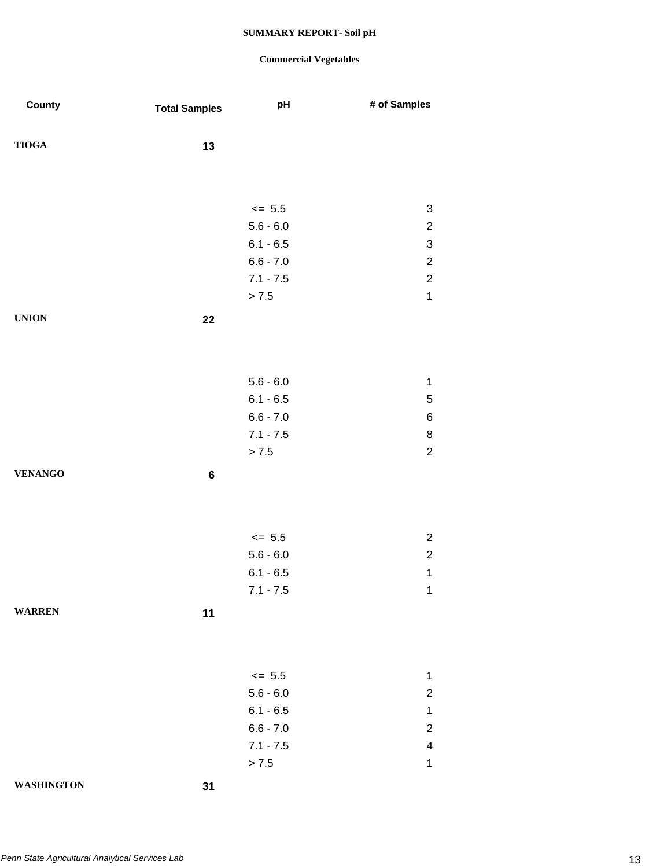| County            | <b>Total Samples</b> | pH          | # of Samples              |
|-------------------|----------------------|-------------|---------------------------|
| ${\bf TIOGA}$     | 13                   |             |                           |
|                   |                      |             |                           |
|                   |                      | $\le$ 5.5   | $\sqrt{3}$                |
|                   |                      | $5.6 - 6.0$ | $\boldsymbol{2}$          |
|                   |                      | $6.1 - 6.5$ | $\ensuremath{\mathsf{3}}$ |
|                   |                      | $6.6 - 7.0$ | $\sqrt{2}$                |
|                   |                      | $7.1 - 7.5$ | $\sqrt{2}$                |
|                   |                      | > 7.5       | $\mathbf 1$               |
| <b>UNION</b>      | 22                   |             |                           |
|                   |                      |             |                           |
|                   |                      | $5.6 - 6.0$ | $\mathbf 1$               |
|                   |                      | $6.1 - 6.5$ | $\sqrt{5}$                |
|                   |                      | $6.6 - 7.0$ | $\,6$                     |
|                   |                      | $7.1 - 7.5$ | $\bf8$                    |
|                   |                      | > 7.5       | $\sqrt{2}$                |
| <b>VENANGO</b>    | $\bf 6$              |             |                           |
|                   |                      |             |                           |
|                   |                      | $\le$ 5.5   | $\boldsymbol{2}$          |
|                   |                      | $5.6 - 6.0$ | $\boldsymbol{2}$          |
|                   |                      | $6.1 - 6.5$ | $\mathbf 1$               |
|                   |                      | $7.1 - 7.5$ | $\mathbf{1}$              |
| <b>WARREN</b>     | 11                   |             |                           |
|                   |                      |             |                           |
|                   |                      | $\le$ 5.5   | 1                         |
|                   |                      | $5.6 - 6.0$ | $\overline{\mathbf{c}}$   |
|                   |                      | $6.1 - 6.5$ | $\mathbf{1}$              |
|                   |                      | $6.6 - 7.0$ | $\sqrt{2}$                |
|                   |                      | $7.1 - 7.5$ | $\overline{\mathbf{4}}$   |
|                   |                      | > 7.5       | $\mathbf 1$               |
| <b>WASHINGTON</b> | 31                   |             |                           |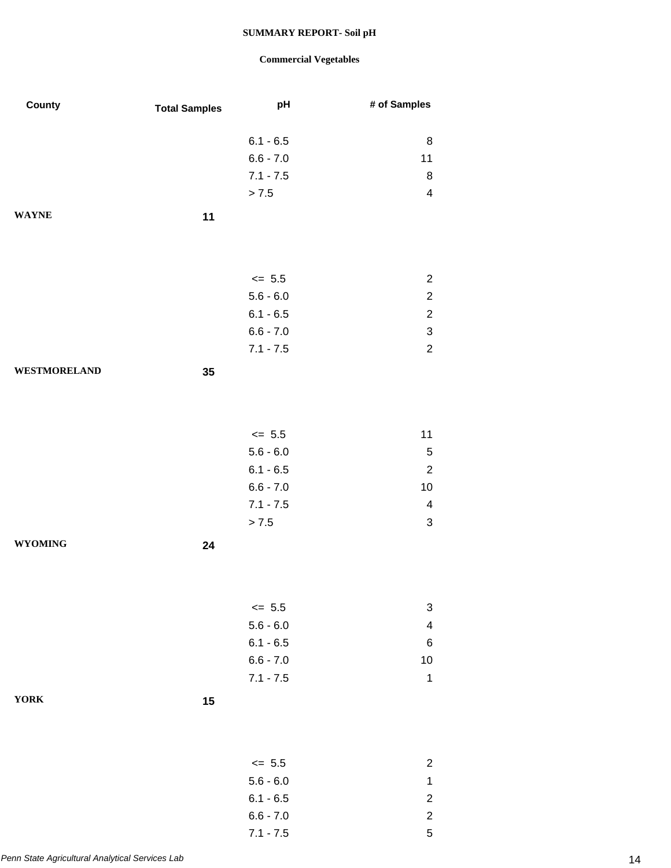| County              | <b>Total Samples</b> | pH          | # of Samples              |
|---------------------|----------------------|-------------|---------------------------|
|                     |                      | $6.1 - 6.5$ | 8                         |
|                     |                      | $6.6 - 7.0$ | 11                        |
|                     |                      | $7.1 - 7.5$ | 8                         |
|                     |                      | > 7.5       | $\overline{\mathbf{4}}$   |
| <b>WAYNE</b>        | 11                   |             |                           |
|                     |                      |             |                           |
|                     |                      | $\leq$ 5.5  | $\overline{2}$            |
|                     |                      | $5.6 - 6.0$ | $\boldsymbol{2}$          |
|                     |                      | $6.1 - 6.5$ | $\sqrt{2}$                |
|                     |                      | $6.6 - 7.0$ | $\ensuremath{\mathsf{3}}$ |
|                     |                      | $7.1 - 7.5$ | $\overline{c}$            |
| <b>WESTMORELAND</b> | 35                   |             |                           |
|                     |                      |             |                           |
|                     |                      | $\le$ 5.5   | 11                        |
|                     |                      | $5.6 - 6.0$ | $\sqrt{5}$                |
|                     |                      | $6.1 - 6.5$ | $\sqrt{2}$                |
|                     |                      | $6.6 - 7.0$ | 10                        |
|                     |                      | $7.1 - 7.5$ | $\overline{\mathbf{4}}$   |
|                     |                      | > 7.5       | $\ensuremath{\mathsf{3}}$ |
| <b>WYOMING</b>      | 24                   |             |                           |
|                     |                      |             |                           |
|                     |                      | $\le$ 5.5   | 3                         |
|                     |                      | $5.6 - 6.0$ | $\overline{\mathbf{4}}$   |
|                     |                      | $6.1 - 6.5$ | $\,6$                     |
|                     |                      | $6.6 - 7.0$ | 10                        |
|                     |                      | $7.1 - 7.5$ | $\mathbf 1$               |
| <b>YORK</b>         | 15                   |             |                           |
|                     |                      |             |                           |
|                     |                      | $\leq$ 5.5  | $\overline{\mathbf{c}}$   |
|                     |                      | $5.6 - 6.0$ | $\mathbf 1$               |
|                     |                      | $6.1 - 6.5$ | $\overline{\mathbf{c}}$   |
|                     |                      | $6.6 - 7.0$ | $\mathbf 2$               |
|                     |                      | $7.1 - 7.5$ | $\mathbf 5$               |